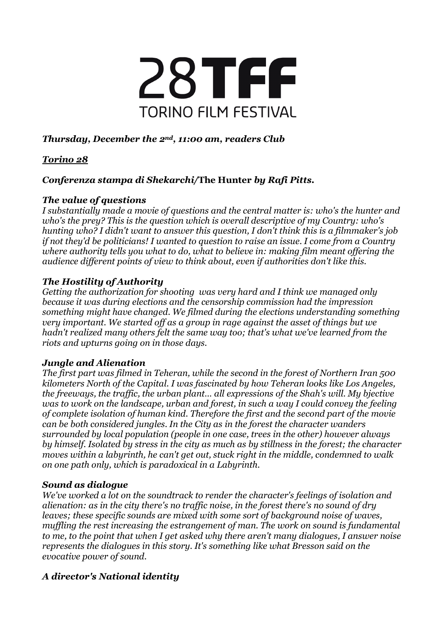

# *Thursday, December the 2nd, 11:00 am, readers Club*

## *Torino 28*

## *Conferenza stampa di Shekarchi/***The Hunter** *by Rafi Pitts.*

#### *The value of questions*

*I substantially made a movie of questions and the central matter is: who's the hunter and who's the prey? This is the question which is overall descriptive of my Country: who's hunting who? I didn't want to answer this question, I don't think this is a filmmaker's job if not they'd be politicians! I wanted to question to raise an issue. I come from a Country where authority tells you what to do, what to believe in: making film meant offering the audience different points of view to think about, even if authorities don't like this.*

### *The Hostility of Authority*

*Getting the authorization for shooting was very hard and I think we managed only because it was during elections and the censorship commission had the impression something might have changed. We filmed during the elections understanding something very important. We started off as a group in rage against the asset of things but we hadn't realized many others felt the same way too; that's what we've learned from the riots and upturns going on in those days.*

### *Jungle and Alienation*

*The first part was filmed in Teheran, while the second in the forest of Northern Iran 500 kilometers North of the Capital. I was fascinated by how Teheran looks like Los Angeles, the freeways, the traffic, the urban plant… all expressions of the Shah's will. My bjective was to work on the landscape, urban and forest, in such a way I could convey the feeling of complete isolation of human kind. Therefore the first and the second part of the movie can be both considered jungles. In the City as in the forest the character wanders surrounded by local population (people in one case, trees in the other) however always by himself. Isolated by stress in the city as much as by stillness in the forest; the character moves within a labyrinth, he can't get out, stuck right in the middle, condemned to walk on one path only, which is paradoxical in a Labyrinth.*

#### *Sound as dialogue*

*We've worked a lot on the soundtrack to render the character's feelings of isolation and alienation: as in the city there's no traffic noise, in the forest there's no sound of dry leaves; these specific sounds are mixed with some sort of background noise of waves, muffling the rest increasing the estrangement of man. The work on sound is fundamental to me, to the point that when I get asked why there aren't many dialogues, I answer noise represents the dialogues in this story. It's something like what Bresson said on the evocative power of sound.*

# *A director's National identity*